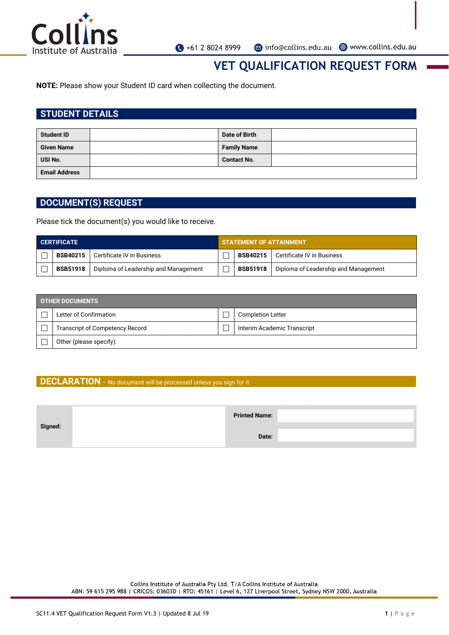

## **VET QUALIFICATION REQUEST FORM**

**NOTE:** Please show your Student ID card when collecting the document.

### **STUDENT DETAILS**

| <b>Student ID</b>    | Date of Birth      |  |
|----------------------|--------------------|--|
| <b>Given Name</b>    | <b>Family Name</b> |  |
| USI No.              | <b>Contact No.</b> |  |
| <b>Email Address</b> |                    |  |

### **DOCUMENT(S) REQUEST**

Please tick the document(s) you would like to receive.

| <b>CERTIFICATE</b> |                 | <b>STATEMENT OF ATTAINMENT</b>       |  |                 |                                      |
|--------------------|-----------------|--------------------------------------|--|-----------------|--------------------------------------|
|                    | <b>BSB40215</b> | Certificate IV in Business           |  | BSB40215 1      | Certificate IV in Business           |
|                    | <b>BSB51918</b> | Diploma of Leadership and Management |  | <b>BSB51918</b> | Diploma of Leadership and Management |

| <b>OTHER DOCUMENTS</b> |                                        |  |                             |  |
|------------------------|----------------------------------------|--|-----------------------------|--|
|                        | Letter of Confirmation                 |  | <b>Completion Letter</b>    |  |
|                        | <b>Transcript of Competency Record</b> |  | Interim Academic Transcript |  |
|                        | Other (please specify):                |  |                             |  |

#### **DECLARATION** – No document will be processed unless you sign for it.

|         | <b>Printed Name:</b> |  |
|---------|----------------------|--|
| Signed: |                      |  |
|         | Date:                |  |